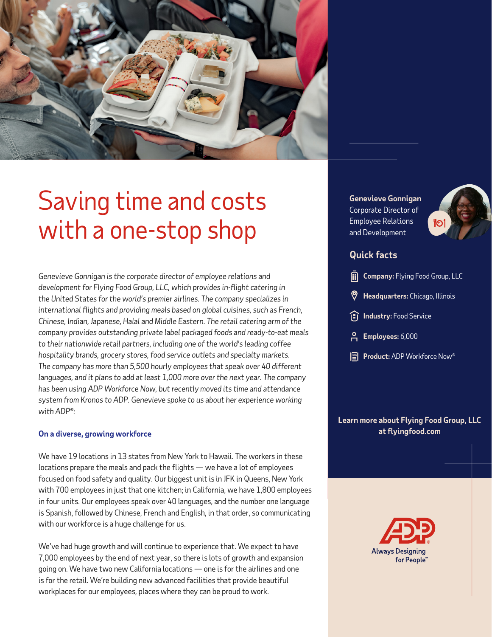

# Saving time and costs with a one-stop shop

*Genevieve Gonnigan is the corporate director of employee relations and development for Flying Food Group, LLC, which provides in-flight catering in the United States for the world's premier airlines. The company specializes in international flights and providing meals based on global cuisines, such as French, Chinese, Indian, Japanese, Halal and Middle Eastern. The retail catering arm of the company provides outstanding private label packaged foods and ready-to-eat meals to their nationwide retail partners, including one of the world's leading coffee hospitality brands, grocery stores, food service outlets and specialty markets. The company has more than 5,500 hourly employees that speak over 40 different languages, and it plans to add at least 1,000 more over the next year. The company has been using ADP Workforce Now, but recently moved its time and attendance system from Kronos to ADP. Genevieve spoke to us about her experience working with ADP®:*

### **On a diverse, growing workforce**

We have 19 locations in 13 states from New York to Hawaii. The workers in these locations prepare the meals and pack the flights — we have a lot of employees focused on food safety and quality. Our biggest unit is in JFK in Queens, New York with 700 employees in just that one kitchen; in California, we have 1,800 employees in four units. Our employees speak over 40 languages, and the number one language is Spanish, followed by Chinese, French and English, in that order, so communicating with our workforce is a huge challenge for us.

We've had huge growth and will continue to experience that. We expect to have 7,000 employees by the end of next year, so there is lots of growth and expansion going on. We have two new California locations — one is for the airlines and one is for the retail. We're building new advanced facilities that provide beautiful workplaces for our employees, places where they can be proud to work.

**Genevieve Gonnigan**  Corporate Director of Employee Relations and Development



# **Quick facts**

- **Company:** Flying Food Group, LLC
- **Headquarters:** Chicago, Illinois
- **I**ndustry: Food Service
- **Employees:** 6,000
- **Product:** ADP Workforce Now®

**Learn more about Flying Food Group, LLC at [flyingfood.com](https://flyingfood.com/)**

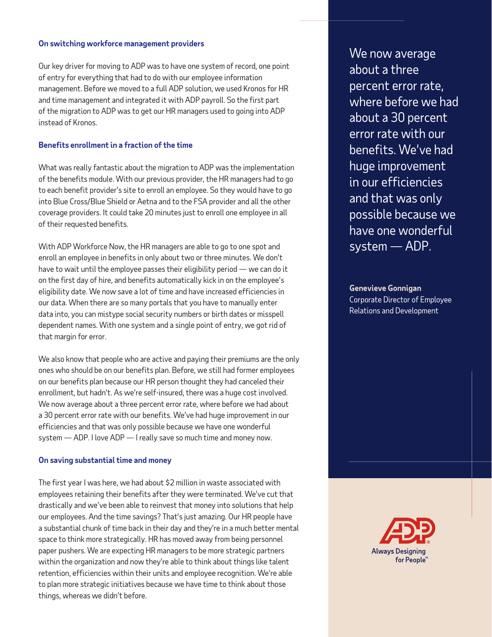#### **On switching workforce management providers**

Our key driver for moving to ADP was to have one system of record, one point of entry for everything that had to do with our employee information management. Before we moved to a full ADP solution, we used Kronos for HR and time management and integrated it with ADP payroll. So the first part of the migration to ADP was to get our HR managers used to going into ADP instead of Kronos.

# **Benefits enrollment in a fraction of the time**

What was really fantastic about the migration to ADP was the implementation of the benefits module. With our previous provider, the HR managers had to go to each benefit provider's site to enroll an employee. So they would have to go into Blue Cross/Blue Shield or Aetna and to the FSA provider and all the other coverage providers. It could take 20 minutes just to enroll one employee in all of their requested benefits.

With ADP Workforce Now, the HR managers are able to go to one spot and enroll an employee in benefits in only about two or three minutes. We don't have to wait until the employee passes their eligibility period — we can do it on the first day of hire, and benefits automatically kick in on the employee's eligibility date. We now save a lot of time and have increased efficiencies in our data. When there are so many portals that you have to manually enter data into, you can mistype social security numbers or birth dates or misspell dependent names. With one system and a single point of entry, we got rid of that margin for error.

We also know that people who are active and paying their premiums are the only ones who should be on our benefits plan. Before, we still had former employees on our benefits plan because our HR person thought they had canceled their enrollment, but hadn't. As we're self-insured, there was a huge cost involved. We now average about a three percent error rate, where before we had about a 30 percent error rate with our benefits. We've had huge improvement in our efficiencies and that was only possible because we have one wonderful system — ADP. I love ADP — I really save so much time and money now.

### **On saving substantial time and money**

The first year I was here, we had about \$2 million in waste associated with employees retaining their benefits after they were terminated. We've cut that drastically and we've been able to reinvest that money into solutions that help our employees. And the time savings? That's just amazing. Our HR people have a substantial chunk of time back in their day and they're in a much better mental space to think more strategically. HR has moved away from being personnel paper pushers. We are expecting HR managers to be more strategic partners within the organization and now they're able to think about things like talent retention, efficiencies within their units and employee recognition. We're able to plan more strategic initiatives because we have time to think about those things, whereas we didn't before.

We now average about a three percent error rate, where before we had about a 30 percent error rate with our benefits. We've had huge improvement in our efficiencies and that was only possible because we have one wonderful system — ADP.

**Genevieve Gonnigan** Corporate Director of Employee Relations and Development